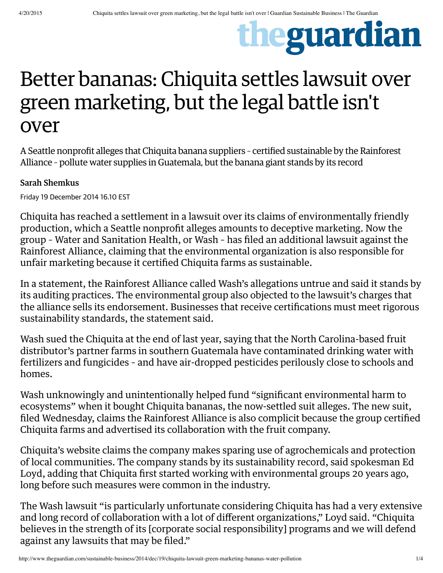# theguardian

## Better bananas: Chiquita settles lawsuit over green marketing, but the legal battle isn't over

A Seattle nonprofit alleges that Chiquita banana suppliers – certified sustainable by the Rainforest Alliance – pollute water supplies in Guatemala, but the banana giant stands by its record

#### Sarah Shemkus

Friday 19 December 2014 16.10 EST

Chiquita has reached a settlement in a lawsuit over its claims of environmentally friendly production, which a Seattle nonprofit alleges amounts to deceptive marketing. Now the group – Water and Sanitation Health, or Wash – has filed an additional lawsuit against the Rainforest Alliance, claiming that the environmental organization is also responsible for unfair marketing because it certified Chiquita farms as sustainable.

In a statement, the Rainforest Alliance called Wash's allegations untrue and said it stands by its auditing practices. The environmental group also objected to the lawsuit's charges that the alliance sells its endorsement. Businesses that receive certifications must meet rigorous sustainability standards, the statement said.

Wash sued the Chiquita at the end of last year, saying that the North Carolina-based fruit distributor's partner farms in southern Guatemala have contaminated drinking water with fertilizers and fungicides – and have air-dropped pesticides perilously close to schools and homes.

Wash unknowingly and unintentionally helped fund "significant environmental harm to ecosystems" when it bought Chiquita bananas, the now-settled suit alleges. The new suit, filed Wednesday, claims the Rainforest Alliance is also complicit because the group certified Chiquita farms and advertised its collaboration with the fruit company.

Chiquita's website claims the company makes sparing use of agrochemicals and protection of local communities. The company stands by its sustainability record, said spokesman Ed Loyd, adding that Chiquita first started working with environmental groups 20 years ago, long before such measures were common in the industry.

The Wash lawsuit "is particularly unfortunate considering Chiquita has had a very extensive and long record of collaboration with a lot of different organizations," Loyd said. "Chiquita believes in the strength of its [corporate social responsibility] programs and we will defend against any lawsuits that may be filed."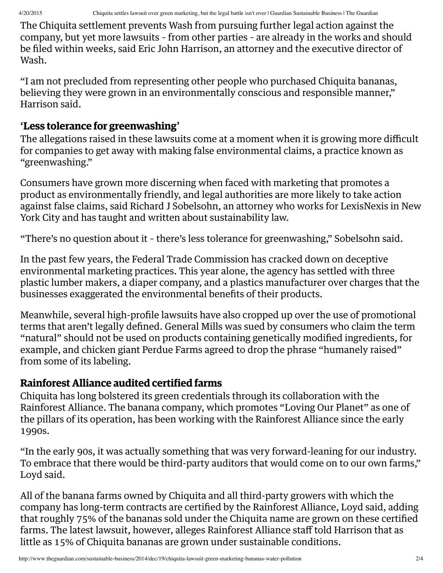The Chiquita settlement prevents Wash from pursuing further legal action against the company, but yet more lawsuits – from other parties – are already in the works and should be filed within weeks, said Eric John Harrison, an attorney and the executive director of Wash.

"I am not precluded from representing other people who purchased Chiquita bananas, believing they were grown in an environmentally conscious and responsible manner," Harrison said.

#### '**Less tolerance for greenwashing**'

The allegations raised in these lawsuits come at a moment when it is growing more difficult for companies to get away with making false environmental claims, a practice known as "greenwashing."

Consumers have grown more discerning when faced with marketing that promotes a product as environmentally friendly, and legal authorities are more likely to take action against false claims, said Richard J Sobelsohn, an attorney who works for LexisNexis in New York City and has taught and written about sustainability law.

"There's no question about it – there's less tolerance for greenwashing," Sobelsohn said.

In the past few years, the Federal Trade Commission has cracked down on deceptive environmental marketing practices. This year alone, the agency has settled with three plastic lumber makers, a diaper company, and a plastics manufacturer over charges that the businesses exaggerated the environmental benefits of their products.

Meanwhile, several high-profile lawsuits have also cropped up over the use of promotional terms that aren't legally defined. General Mills was sued by consumers who claim the term "natural" should not be used on products containing genetically modified ingredients, for example, and chicken giant Perdue Farms agreed to drop the phrase "humanely raised" from some of its labeling.

#### **Rainforest Alliance audited certified farms**

Chiquita has long bolstered its green credentials through its collaboration with the Rainforest Alliance. The banana company, which promotes "Loving Our Planet" as one of the pillars of its operation, has been working with the Rainforest Alliance since the early 1990s.

"In the early 90s, it was actually something that was very forward-leaning for our industry. To embrace that there would be third-party auditors that would come on to our own farms," Loyd said.

All of the banana farms owned by Chiquita and all third-party growers with which the company has long-term contracts are certified by the Rainforest Alliance, Loyd said, adding that roughly 75% of the bananas sold under the Chiquita name are grown on these certified farms. The latest lawsuit, however, alleges Rainforest Alliance staff told Harrison that as little as 15% of Chiquita bananas are grown under sustainable conditions.